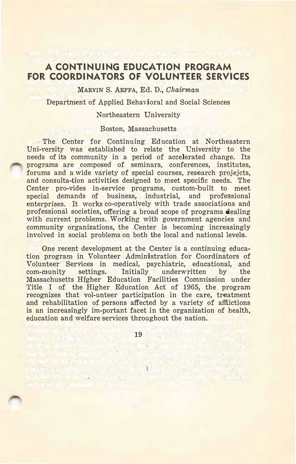## **A CONTINUING EDUCATION PROGRAM FOR COORDINATORS OF VOLUNTEER SERVICES**

**MARVIN** S. **ARFFA,** Ed. D., *Chairman* 

Department of Applied Behavioral and Social Sciences

## Northeastern University

## Boston, Massachusetts

The Center for Continuing Education at Northeastern Uni-versity was established to relate the University to the needs of its community in a period of accelerated change. Its programs are composed of seminars, conferences, institutes, forums and a wide variety of special courses, research projejcts, and consulta-tion activities designed to meet specific needs. The Center pro-vides in-service programs, custom-built to meet special demands of business, industrial, and professional enterprises. It works co-operatively with trade associations and professional societies, offering a broad scope of programs dealing with current problems. Working with government agencies and community organizations, the Center is becoming increasingly involved in social problems on both the local and national levels.

One recent development at the Center is a continuing education program in Volunteer Administration for Coordinators of Volunteer Services in medical, psychiatric, educational, and com-munity settings. Initially underwritten by the Massachusetts Higher Education Facilities Commission under Title I of the Higher Education Act of 1965, the program recognizes that vol-unteer participation in the care, treatment and rehabilitation of persons affected by a variety of afflictions is an increasingly im-portant facet in the organization of health, education and welfare services throughout the nation.

19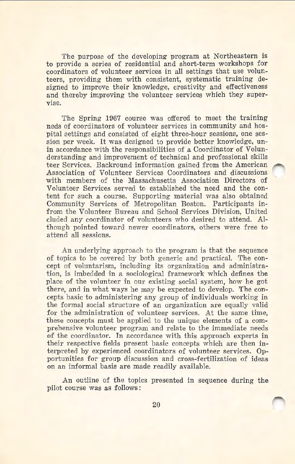The purpose of the developing program at Northeastern is to provide a series of residential and short-term workshops for coordinators of volunteer services in all settings that use volunteers, providing them with consistent, systematic training designed to improve their knowledge, creativity and effectiveness and thereby improving the volunteer services which they supervise.

The Spring 1967 course was offered to meet the training neds of coordinators of volunteer services in community and hospital settings and consisted of eight three-hour sessions, one session per week. It was designed to provide better knowledge, unin accordance with the responsibilities of a Coordinator of Volunderstanding and improvement of technical and professional skills teer Services. Backround information gained from the American Association of Volunteer Services Coordinators and discussions with members of the Massachusetts Association Directors of Volunteer Services served to established the need and the content for such a course. Supporting material was also obtained Community Services of Metropolitan Boston. Participants infrom the Volunteer Bureau and School Services Division, United eluded any coordinator of volunteers who desired to attend. Although pointed toward newer coordinators, others were free to attend all sessions.

An underlying approach to the program is that the sequence of topics to be covered by both generic and practical. The concept of voluntarism, including its organization and administration, is imbedded in a sociological framework which defines the place of the volunteer in our existing social system, how he got there, and in what ways he may be expected to develop. The concepts basic to administering any group of individuals working in the formal social structure of an organization are equally valid for the administration of volunteer services. At the same time, these concepts must be applied to the unique elements of a comprehensive volunteer program and relate to the immediate needs of the coordinator. In accordance with this approach experts in their respective fields present basic concepts which are then interpreted by experienced coordinators of volunteer services. Opportunities for group discussion and cross-fertilization of ideas on an informal basis are made readily available.

An outline of the topics presented in sequence during the pilot course was as follows: